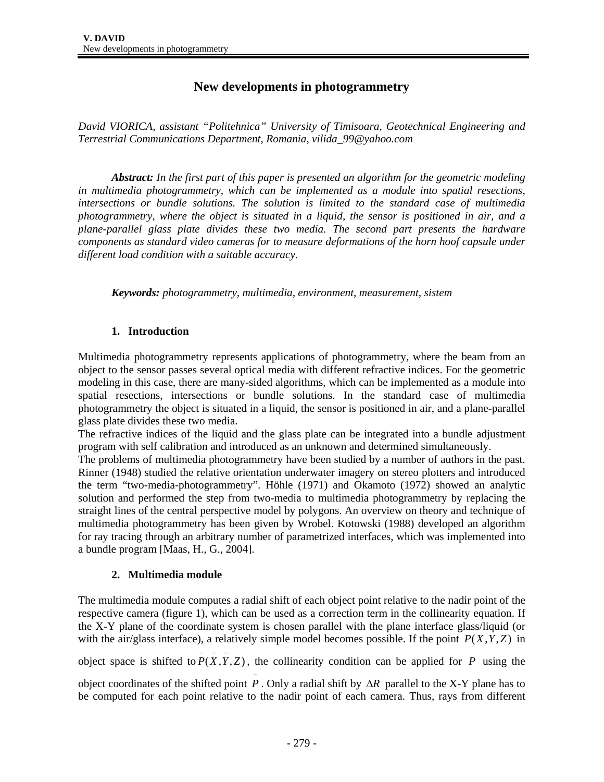# **New developments in photogrammetry**

*David VIORICA, assistant "Politehnica" University of Timisoara, Geotechnical Engineering and Terrestrial Communications Department, Romania, vilida\_99@yahoo.com* 

*Abstract: In the first part of this paper is presented an algorithm for the geometric modeling in multimedia photogrammetry, which can be implemented as a module into spatial resections, intersections or bundle solutions. The solution is limited to the standard case of multimedia photogrammetry, where the object is situated in a liquid, the sensor is positioned in air, and a plane-parallel glass plate divides these two media. The second part presents the hardware components as standard video cameras for to measure deformations of the horn hoof capsule under different load condition with a suitable accuracy.* 

*Keywords: photogrammetry, multimedia, environment, measurement, sistem* 

### **1. Introduction**

Multimedia photogrammetry represents applications of photogrammetry, where the beam from an object to the sensor passes several optical media with different refractive indices. For the geometric modeling in this case, there are many-sided algorithms, which can be implemented as a module into spatial resections, intersections or bundle solutions. In the standard case of multimedia photogrammetry the object is situated in a liquid, the sensor is positioned in air, and a plane-parallel glass plate divides these two media.

The refractive indices of the liquid and the glass plate can be integrated into a bundle adjustment program with self calibration and introduced as an unknown and determined simultaneously.

The problems of multimedia photogrammetry have been studied by a number of authors in the past. Rinner (1948) studied the relative orientation underwater imagery on stereo plotters and introduced the term "two-media-photogrammetry". Höhle (1971) and Okamoto (1972) showed an analytic solution and performed the step from two-media to multimedia photogrammetry by replacing the straight lines of the central perspective model by polygons. An overview on theory and technique of multimedia photogrammetry has been given by Wrobel. Kotowski (1988) developed an algorithm for ray tracing through an arbitrary number of parametrized interfaces, which was implemented into a bundle program [Maas, H., G., 2004].

### **2. Multimedia module**

The multimedia module computes a radial shift of each object point relative to the nadir point of the respective camera (figure 1), which can be used as a correction term in the collinearity equation. If the X-Y plane of the coordinate system is chosen parallel with the plane interface glass/liquid (or with the air/glass interface), a relatively simple model becomes possible. If the point  $P(X, Y, Z)$  in

object space is shifted to  $\overline{P(X, Y, Z)}$ , the collinearity condition can be applied for *P* using the

object coordinates of the shifted point <sup>−</sup> *P* . Only a radial shift by ∆*R* parallel to the X-Y plane has to be computed for each point relative to the nadir point of each camera. Thus, rays from different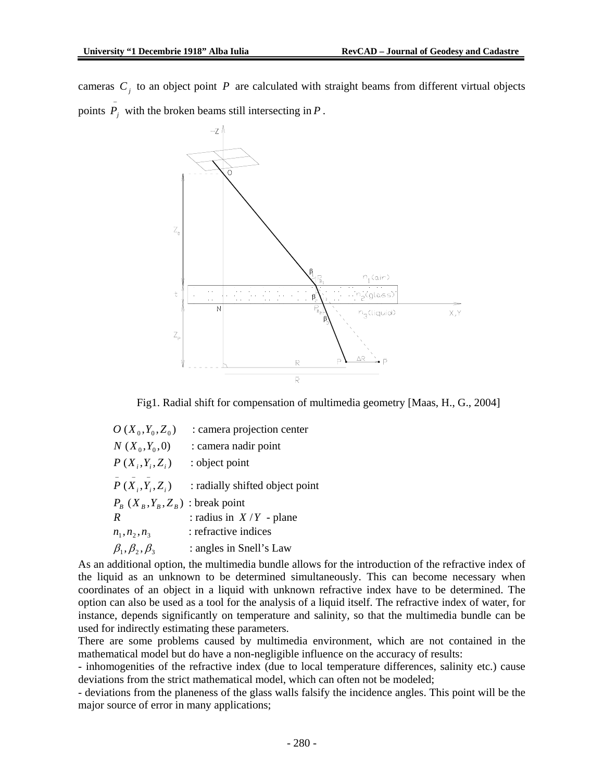cameras  $C_i$  to an object point  $P$  are calculated with straight beams from different virtual objects points  $\overline{P}_j$  with the broken beams still intersecting in *P*.



Fig1. Radial shift for compensation of multimedia geometry [Maas, H., G., 2004]

| $O(X_0, Y_0, Z_0)$           | : camera projection center      |
|------------------------------|---------------------------------|
| $N(X_0,Y_0,0)$               | : camera nadir point            |
| $P(X_i, Y_i, Z_i)$           | : object point                  |
| $P(X_i, Y_i, Z_i)$           | : radially shifted object point |
| $P_{R}(X_{R}, Y_{R}, Z_{R})$ | : break point                   |
| R                            | : radius in $X/Y$ - plane       |
| $n_1, n_2, n_3$              | : refractive indices            |
| $\beta_1, \beta_2, \beta_3$  | : angles in Snell's Law         |

As an additional option, the multimedia bundle allows for the introduction of the refractive index of the liquid as an unknown to be determined simultaneously. This can become necessary when coordinates of an object in a liquid with unknown refractive index have to be determined. The option can also be used as a tool for the analysis of a liquid itself. The refractive index of water, for instance, depends significantly on temperature and salinity, so that the multimedia bundle can be used for indirectly estimating these parameters.

There are some problems caused by multimedia environment, which are not contained in the mathematical model but do have a non-negligible influence on the accuracy of results:

- inhomogenities of the refractive index (due to local temperature differences, salinity etc.) cause deviations from the strict mathematical model, which can often not be modeled;

- deviations from the planeness of the glass walls falsify the incidence angles. This point will be the major source of error in many applications;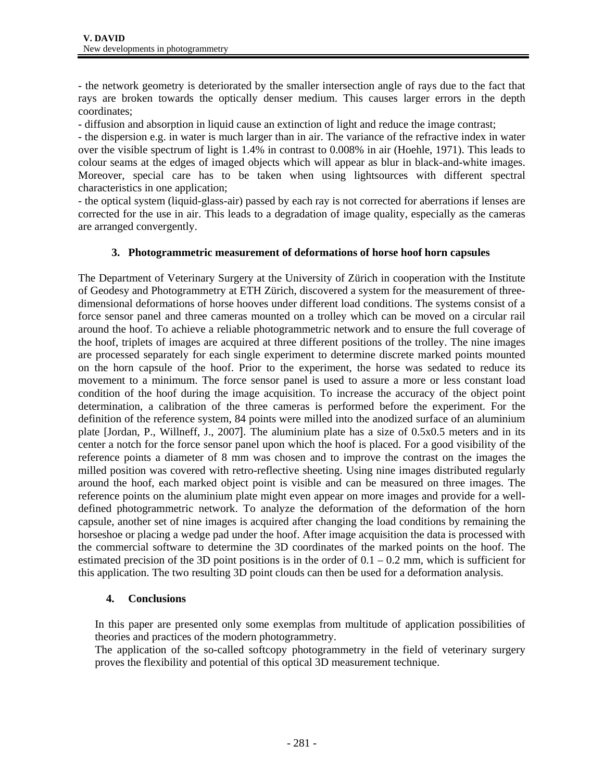- the network geometry is deteriorated by the smaller intersection angle of rays due to the fact that rays are broken towards the optically denser medium. This causes larger errors in the depth coordinates;

- diffusion and absorption in liquid cause an extinction of light and reduce the image contrast;

- the dispersion e.g. in water is much larger than in air. The variance of the refractive index in water over the visible spectrum of light is 1.4% in contrast to 0.008% in air (Hoehle, 1971). This leads to colour seams at the edges of imaged objects which will appear as blur in black-and-white images. Moreover, special care has to be taken when using lightsources with different spectral characteristics in one application;

- the optical system (liquid-glass-air) passed by each ray is not corrected for aberrations if lenses are corrected for the use in air. This leads to a degradation of image quality, especially as the cameras are arranged convergently.

## **3. Photogrammetric measurement of deformations of horse hoof horn capsules**

The Department of Veterinary Surgery at the University of Zürich in cooperation with the Institute of Geodesy and Photogrammetry at ETH Zürich, discovered a system for the measurement of threedimensional deformations of horse hooves under different load conditions. The systems consist of a force sensor panel and three cameras mounted on a trolley which can be moved on a circular rail around the hoof. To achieve a reliable photogrammetric network and to ensure the full coverage of the hoof, triplets of images are acquired at three different positions of the trolley. The nine images are processed separately for each single experiment to determine discrete marked points mounted on the horn capsule of the hoof. Prior to the experiment, the horse was sedated to reduce its movement to a minimum. The force sensor panel is used to assure a more or less constant load condition of the hoof during the image acquisition. To increase the accuracy of the object point determination, a calibration of the three cameras is performed before the experiment. For the definition of the reference system, 84 points were milled into the anodized surface of an aluminium plate [Jordan, P., Willneff, J., 2007]. The aluminium plate has a size of 0.5x0.5 meters and in its center a notch for the force sensor panel upon which the hoof is placed. For a good visibility of the reference points a diameter of 8 mm was chosen and to improve the contrast on the images the milled position was covered with retro-reflective sheeting. Using nine images distributed regularly around the hoof, each marked object point is visible and can be measured on three images. The reference points on the aluminium plate might even appear on more images and provide for a welldefined photogrammetric network. To analyze the deformation of the deformation of the horn capsule, another set of nine images is acquired after changing the load conditions by remaining the horseshoe or placing a wedge pad under the hoof. After image acquisition the data is processed with the commercial software to determine the 3D coordinates of the marked points on the hoof. The estimated precision of the 3D point positions is in the order of  $0.1 - 0.2$  mm, which is sufficient for this application. The two resulting 3D point clouds can then be used for a deformation analysis.

### **4. Conclusions**

In this paper are presented only some exemplas from multitude of application possibilities of theories and practices of the modern photogrammetry.

The application of the so-called softcopy photogrammetry in the field of veterinary surgery proves the flexibility and potential of this optical 3D measurement technique.